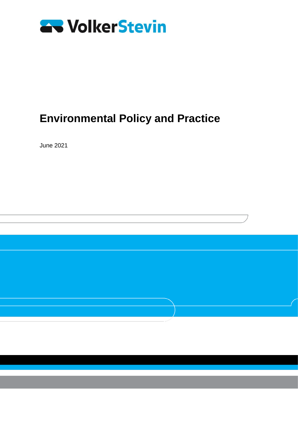

June 2021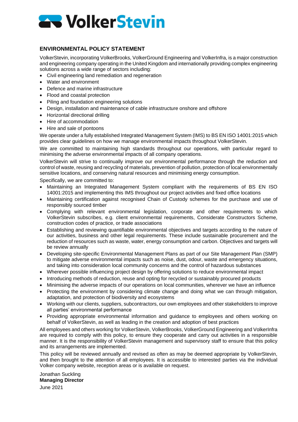

# **ENVIRONMENTAL POLICY STATEMENT**

VolkerStevin, incorporating VolkerBrooks, VolkerGround Engineering and VolkerInfra, is a major construction and engineering company operating in the United Kingdom and internationally providing complex engineering solutions across a wide range of sectors including:

- Civil engineering land remediation and regeneration
- Water and environment
- Defence and marine infrastructure
- Flood and coastal protection
- Piling and foundation engineering solutions
- Design, installation and maintenance of cable infrastructure onshore and offshore
- Horizontal directional drilling
- Hire of accommodation
- Hire and sale of pontoons

We operate under a fully established Integrated Management System (IMS) to BS EN ISO 14001:2015 which provides clear guidelines on how we manage environmental impacts throughout VolkerStevin.

We are committed to maintaining high standards throughout our operations, with particular regard to minimising the adverse environmental impacts of all company operations.

VolkerStevin will strive to continually improve our environmental performance through the reduction and control of waste, reusing and recycling of materials, prevention of pollution, protection of local environmentally sensitive locations, and conserving natural resources and minimising energy consumption.

Specifically, we are committed to:

- Maintaining an Integrated Management System compliant with the requirements of BS EN ISO 14001:2015 and implementing this IMS throughout our project activities and fixed office locations
- Maintaining certification against recognised Chain of Custody schemes for the purchase and use of responsibly sourced timber
- Complying with relevant environmental legislation, corporate and other requirements to which VolkerStevin subscribes, e.g. client environmental requirements, Considerate Constructors Scheme, construction codes of practice, or trade associations
- Establishing and reviewing quantifiable environmental objectives and targets according to the nature of our activities, business and other legal requirements. These include sustainable procurement and the reduction of resources such as waste, water, energy consumption and carbon. Objectives and targets will be review annually
- Developing site-specific Environmental Management Plans as part of our Site Management Plan (SMP) to mitigate adverse environmental impacts such as noise, dust, odour, waste and emergency situations, and taking into consideration local community concerns and the control of hazardous substances
- Wherever possible influencing project design by offering solutions to reduce environmental impact
- Introducing methods of reduction, reuse and opting for recycled or sustainably procured products
- Minimising the adverse impacts of our operations on local communities, wherever we have an influence
- Protecting the environment by considering climate change and doing what we can through mitigation, adaptation, and protection of biodiversity and ecosystems
- Working with our clients, suppliers, subcontractors, our own employees and other stakeholders to improve all parties' environmental performance
- Providing appropriate environmental information and guidance to employees and others working on behalf of VolkerStevin, as well as leading in the creation and adoption of best practices

All employees and others working for VolkerStevin, VolkerBrooks, VolkerGround Engineering and VolkerInfra are required to comply with this policy, to ensure they cooperate and carry out activities in a responsible manner. It is the responsibility of VolkerStevin management and supervisory staff to ensure that this policy and its arrangements are implemented.

This policy will be reviewed annually and revised as often as may be deemed appropriate by VolkerStevin, and then brought to the attention of all employees. It is accessible to interested parties via the individual Volker company website, reception areas or is available on request.

Jonathan Suckling **Managing Director**  June 2021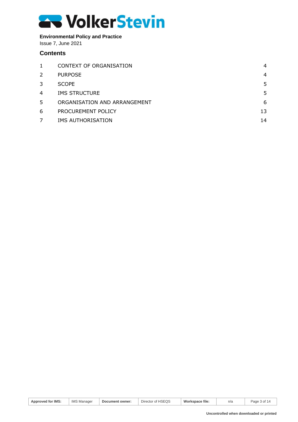# **Environmental Policy and Practice**

Issue 7, June 2021

# **Contents**

| $\mathbf{1}$ | CONTEXT OF ORGANISATION      | 4  |
|--------------|------------------------------|----|
| 2            | <b>PURPOSE</b>               | 4  |
| 3            | <b>SCOPE</b>                 | 5  |
| 4            | <b>IMS STRUCTURE</b>         | 5  |
| 5            | ORGANISATION AND ARRANGEMENT | 6  |
| 6            | PROCUREMENT POLICY           | 13 |
|              | IMS AUTHORISATION            | 14 |

| Approved for IMS: | <b>IMS Manager</b> | Document owner: | Director of HSEQS | Workspace file: | n/a | Page 3 of 1<br>14 |
|-------------------|--------------------|-----------------|-------------------|-----------------|-----|-------------------|
|-------------------|--------------------|-----------------|-------------------|-----------------|-----|-------------------|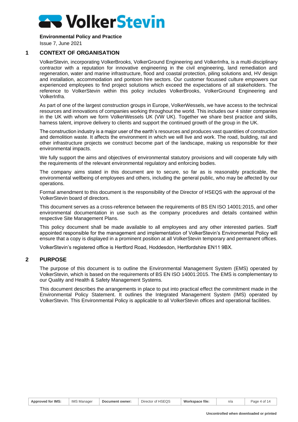

Issue 7, June 2021

# **1 CONTEXT OF ORGANISATION**

<span id="page-3-0"></span>VolkerStevin, incorporating VolkerBrooks, VolkerGround Engineering and VolkerInfra, is a multi-disciplinary contractor with a reputation for innovative engineering in the civil engineering, land remediation and regeneration, water and marine infrastructure, flood and coastal protection, piling solutions and, HV design and installation, accommodation and pontoon hire sectors. Our customer focussed culture empowers our experienced employees to find project solutions which exceed the expectations of all stakeholders. The reference to VolkerStevin within this policy includes VolkerBrooks, VolkerGround Engineering and VolkerInfra.

As part of one of the largest construction groups in Europe, VolkerWessels, we have access to the technical resources and innovations of companies working throughout the world. This includes our 4 sister companies in the UK with whom we form VolkerWessels UK (VW UK). Together we share best practice and skills, harness talent, improve delivery to clients and support the continued growth of the group in the UK.

The construction industry is a major user of the earth's resources and produces vast quantities of construction and demolition waste. It affects the environment in which we will live and work. The road, building, rail and other infrastructure projects we construct become part of the landscape, making us responsible for their environmental impacts.

We fully support the aims and objectives of environmental statutory provisions and will cooperate fully with the requirements of the relevant environmental regulatory and enforcing bodies.

The company aims stated in this document are to secure, so far as is reasonably practicable, the environmental wellbeing of employees and others, including the general public, who may be affected by our operations.

Formal amendment to this document is the responsibility of the Director of HSEQS with the approval of the VolkerStevin board of directors.

This document serves as a cross-reference between the requirements of BS EN ISO 14001:2015, and other environmental documentation in use such as the company procedures and details contained within respective Site Management Plans.

This policy document shall be made available to all employees and any other interested parties. Staff appointed responsible for the management and implementation of VolkerStevin's Environmental Policy will ensure that a copy is displayed in a prominent position at all VolkerStevin temporary and permanent offices.

<span id="page-3-1"></span>VolkerStevin's registered office is Hertford Road, Hoddesdon, Hertfordshire EN11 9BX.

#### **2 PURPOSE**

The purpose of this document is to outline the Environmental Management System (EMS) operated by VolkerStevin, which is based on the requirements of BS EN ISO 14001:2015. The EMS is complementary to our Quality and Health & Safety Management Systems.

This document describes the arrangements in place to put into practical effect the commitment made in the Environmental Policy Statement. It outlines the Integrated Management System (IMS) operated by VolkerStevin. This Environmental Policy is applicable to all VolkerStevin offices and operational facilities.

| Approved for IMS: | <b>IMS Manager</b> | Document owner: | Director of HSEQS | Workspace file. | n/a | Page 4 of 14 |
|-------------------|--------------------|-----------------|-------------------|-----------------|-----|--------------|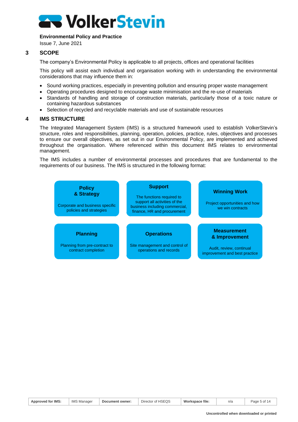

Issue 7, June 2021

#### **3 SCOPE**

<span id="page-4-0"></span>The company's Environmental Policy is applicable to all projects, offices and operational facilities

This policy will assist each individual and organisation working with in understanding the environmental considerations that may influence them in:

- Sound working practices, especially in preventing pollution and ensuring proper waste management
- Operating procedures designed to encourage waste minimisation and the re-use of materials
- Standards of handling and storage of construction materials, particularly those of a toxic nature or containing hazardous substances
- <span id="page-4-1"></span>• Selection of recycled and recyclable materials and use of sustainable resources

#### **4 IMS STRUCTURE**

The Integrated Management System (IMS) is a structured framework used to establish VolkerStevin's structure, roles and responsibilities, planning, operation, policies, practice, rules, objectives and processes to ensure our overall objectives, as set out in our Environmental Policy, are implemented and achieved throughout the organisation. Where referenced within this document IMS relates to environmental management.

The IMS includes a number of environmental processes and procedures that are fundamental to the requirements of our business. The IMS is structured in the following format:



| <b>Approved for IMS:</b> | <b>IMS Manager</b> | Document owner: | Director of HSEQS | Workspace file: | n/a | Page 5 of 14 |
|--------------------------|--------------------|-----------------|-------------------|-----------------|-----|--------------|
|--------------------------|--------------------|-----------------|-------------------|-----------------|-----|--------------|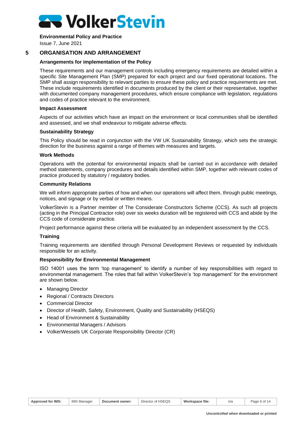

Issue 7, June 2021

# **5 ORGANISATION AND ARRANGEMENT**

#### <span id="page-5-0"></span>**Arrangements for implementation of the Policy**

These requirements and our management controls including emergency requirements are detailed within a specific Site Management Plan (SMP) prepared for each project and our fixed operational locations. The SMP shall assign responsibility to relevant parties to ensure these policy and practice requirements are met. These include requirements identified in documents produced by the client or their representative, together with documented company management procedures, which ensure compliance with legislation, regulations and codes of practice relevant to the environment.

#### **Impact Assessment**

Aspects of our activities which have an impact on the environment or local communities shall be identified and assessed, and we shall endeavour to mitigate adverse effects.

#### **Sustainability Strategy**

This Policy should be read in conjunction with the VW UK Sustainability Strategy, which sets the strategic direction for the business against a range of themes with measures and targets.

#### **Work Methods**

Operations with the potential for environmental impacts shall be carried out in accordance with detailed method statements, company procedures and details identified within SMP, together with relevant codes of practice produced by statutory / regulatory bodies.

#### **Community Relations**

We will inform appropriate parties of how and when our operations will affect them, through public meetings, notices, and signage or by verbal or written means.

VolkerStevin is a Partner member of The Considerate Constructors Scheme (CCS). As such all projects (acting in the Principal Contractor role) over six weeks duration will be registered with CCS and abide by the CCS code of considerate practice.

Project performance against these criteria will be evaluated by an independent assessment by the CCS.

#### **Training**

Training requirements are identified through Personal Development Reviews or requested by individuals responsible for an activity.

#### **Responsibility for Environmental Management**

ISO 14001 uses the term 'top management' to identify a number of key responsibilities with regard to environmental management. The roles that fall within VolkerStevin's 'top management' for the environment are shown below.

- Managing Director
- Regional / Contracts Directors
- Commercial Director
- Director of Health, Safety, Environment, Quality and Sustainability (HSEQS)
- Head of Environment & Sustainability
- Environmental Managers / Advisors
- VolkerWessels UK Corporate Responsibility Director (CR)

| <b>Approved for IMS:</b> | <b>IMS Manager</b> | Document owner: | Director of HSEQS | Workspace file: | n/a | Page 6 of 14 |
|--------------------------|--------------------|-----------------|-------------------|-----------------|-----|--------------|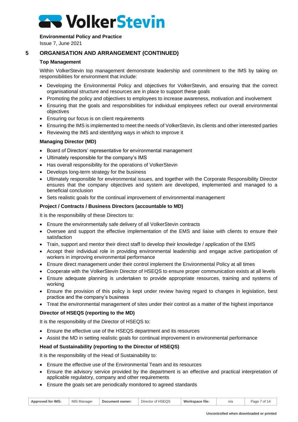

Issue 7, June 2021

# **5 ORGANISATION AND ARRANGEMENT (CONTINUED)**

### **Top Management**

Within VolkerStevin top management demonstrate leadership and commitment to the IMS by taking on responsibilities for environment that include:

- Developing the Environmental Policy and objectives for VolkerStevin, and ensuring that the correct organisational structure and resources are in place to support these goals
- Promoting the policy and objectives to employees to increase awareness, motivation and involvement
- Ensuring that the goals and responsibilities for individual employees reflect our overall environmental objectives
- Ensuring our focus is on client requirements
- Ensuring the IMS is implemented to meet the needs of VolkerStevin, its clients and other interested parties
- Reviewing the IMS and identifying ways in which to improve it

# **Managing Director (MD)**

- Board of Directors' representative for environmental management
- Ultimately responsible for the company's IMS
- Has overall responsibility for the operations of VolkerStevin
- Develops long-term strategy for the business
- Ultimately responsible for environmental issues, and together with the Corporate Responsibility Director ensures that the company objectives and system are developed, implemented and managed to a beneficial conclusion
- Sets realistic goals for the continual improvement of environmental management

#### **Project / Contracts / Business Directors (accountable to MD)**

It is the responsibility of these Directors to:

- Ensure the environmentally safe delivery of all VolkerStevin contracts
- Oversee and support the effective implementation of the EMS and liaise with clients to ensure their satisfaction
- Train, support and mentor their direct staff to develop their knowledge / application of the EMS
- Accept their individual role in providing environmental leadership and engage active participation of workers in improving environmental performance
- Ensure direct management under their control implement the Environmental Policy at all times
- Cooperate with the VolkerStevin Director of HSEQS to ensure proper communication exists at all levels
- Ensure adequate planning is undertaken to provide appropriate resources, training and systems of working
- Ensure the provision of this policy is kept under review having regard to changes in legislation, best practice and the company's business
- Treat the environmental management of sites under their control as a matter of the highest importance

#### **Director of HSEQS (reporting to the MD)**

It is the responsibility of the Director of HSEQS to:

- Ensure the effective use of the HSEQS department and its resources
- Assist the MD in setting realistic goals for continual improvement in environmental performance

#### **Head of Sustainability (reporting to the Director of HSEQS)**

It is the responsibility of the Head of Sustainability to:

- Ensure the effective use of the Environmental Team and its resources
- Ensure the advisory service provided by the department is an effective and practical interpretation of applicable regulatory, company and other requirements
- Ensure the goals set are periodically monitored to agreed standards

| <b>Approved for IMS:</b> | <b>IMS Manager</b> | Document owner: | Director of HSEQS | Workspace file: | n/a | ′ of<br>Page |
|--------------------------|--------------------|-----------------|-------------------|-----------------|-----|--------------|
|--------------------------|--------------------|-----------------|-------------------|-----------------|-----|--------------|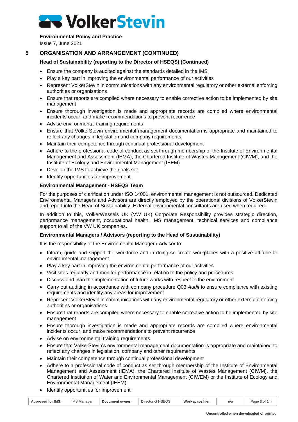**Environmental Policy and Practice**

Issue 7, June 2021

# **5 ORGANISATION AND ARRANGEMENT (CONTINUED)**

# **Head of Sustainability (reporting to the Director of HSEQS) (Continued)**

- Ensure the company is audited against the standards detailed in the IMS
- Play a key part in improving the environmental performance of our activities
- Represent VolkerStevin in communications with any environmental regulatory or other external enforcing authorities or organisations
- Ensure that reports are compiled where necessary to enable corrective action to be implemented by site management
- Ensure thorough investigation is made and appropriate records are compiled where environmental incidents occur, and make recommendations to prevent recurrence
- Advise environmental training requirements
- Ensure that VolkerStevin environmental management documentation is appropriate and maintained to reflect any changes in legislation and company requirements
- Maintain their competence through continual professional development
- Adhere to the professional code of conduct as set through membership of the Institute of Environmental Management and Assessment (IEMA), the Chartered Institute of Wastes Management (CIWM), and the Institute of Ecology and Environmental Management (IEEM)
- Develop the IMS to achieve the goals set
- Identify opportunities for improvement

# **Environmental Management - HSEQS Team**

For the purposes of clarification under ISO 14001, environmental management is not outsourced. Dedicated Environmental Managers and Advisors are directly employed by the operational divisions of VolkerStevin and report into the Head of Sustainability. External environmental consultants are used when required.

In addition to this, VolkerWessels UK (VW UK) Corporate Responsibility provides strategic direction, performance management, occupational health, IMS management, technical services and compliance support to all of the VW UK companies.

#### **Environmental Managers / Advisors (reporting to the Head of Sustainability)**

It is the responsibility of the Environmental Manager / Advisor to:

- Inform, guide and support the workforce and in doing so create workplaces with a positive attitude to environmental management
- Play a key part in improving the environmental performance of our activities
- Visit sites regularly and monitor performance in relation to the policy and procedures
- Discuss and plan the implementation of future works with respect to the environment
- Carry out auditing in accordance with company procedure Q03 *Audit* to ensure compliance with existing requirements and identify any areas for improvement
- Represent VolkerStevin in communications with any environmental regulatory or other external enforcing authorities or organisations
- Ensure that reports are compiled where necessary to enable corrective action to be implemented by site management
- Ensure thorough investigation is made and appropriate records are compiled where environmental incidents occur, and make recommendations to prevent recurrence
- Advise on environmental training requirements
- Ensure that VolkerStevin's environmental management documentation is appropriate and maintained to reflect any changes in legislation, company and other requirements
- Maintain their competence through continual professional development
- Adhere to a professional code of conduct as set through membership of the Institute of Environmental Management and Assessment (IEMA), the Chartered Institute of Wastes Management (CIWM), the Chartered Institution of Water and Environmental Management (CIWEM) or the Institute of Ecology and Environmental Management (IEEM)
- Identify opportunities for improvement

| <b>Approved for IMS:</b> | <b>IMS Manager</b> | Document owner: | Director of HSEQS | Workspace file: | n/a | Page 8 of 14 |
|--------------------------|--------------------|-----------------|-------------------|-----------------|-----|--------------|
|--------------------------|--------------------|-----------------|-------------------|-----------------|-----|--------------|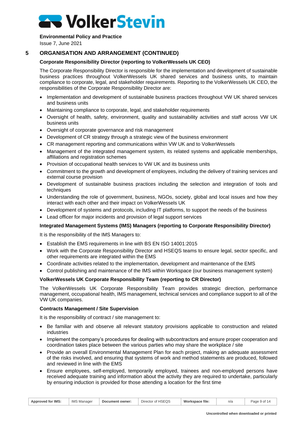#### **Environmental Policy and Practice**

Issue 7, June 2021

# **5 ORGANISATION AND ARRANGEMENT (CONTINUED)**

### **Corporate Responsibility Director (reporting to VolkerWessels UK CEO)**

The Corporate Responsibility Director is responsible for the implementation and development of sustainable business practices throughout VolkerWessels UK shared services and business units, to maintain compliance to corporate, legal, and stakeholder requirements. Reporting to the VolkerWessels UK CEO, the responsibilities of the Corporate Responsibility Director are:

- Implementation and development of sustainable business practices throughout VW UK shared services and business units
- Maintaining compliance to corporate, legal, and stakeholder requirements
- Oversight of health, safety, environment, quality and sustainability activities and staff across VW UK business units
- Oversight of corporate governance and risk management
- Development of CR strategy through a strategic view of the business environment
- CR management reporting and communications within VW UK and to VolkerWessels
- Management of the integrated management system, its related systems and applicable memberships, affiliations and registration schemes
- Provision of occupational health services to VW UK and its business units
- Commitment to the growth and development of employees, including the delivery of training services and external course provision
- Development of sustainable business practices including the selection and integration of tools and techniques
- Understanding the role of government, business, NGOs, society, global and local issues and how they interact with each other and their impact on VolkerWessels UK
- Development of systems and protocols, including IT platforms, to support the needs of the business
- Lead officer for major incidents and provision of legal support services

#### **Integrated Management Systems (IMS) Managers (reporting to Corporate Responsibility Director)**

It is the responsibility of the IMS Managers to:

- Establish the EMS requirements in line with BS EN ISO 14001:2015
- Work with the Corporate Responsibility Director and HSEQS teams to ensure legal, sector specific, and other requirements are integrated within the EMS
- Coordinate activities related to the implementation, development and maintenance of the EMS
- Control publishing and maintenance of the IMS within Workspace (our business management system)

#### **VolkerWessels UK Corporate Responsibility Team (reporting to CR Director)**

The VolkerWessels UK Corporate Responsibility Team provides strategic direction, performance management, occupational health, IMS management, technical services and compliance support to all of the VW UK companies.

#### **Contracts Management / Site Supervision**

It is the responsibility of contract / site management to:

- Be familiar with and observe all relevant statutory provisions applicable to construction and related industries
- Implement the company's procedures for dealing with subcontractors and ensure proper cooperation and coordination takes place between the various parties who may share the workplace / site
- Provide an overall Environmental Management Plan for each project, making an adequate assessment of the risks involved, and ensuring that systems of work and method statements are produced, followed and reviewed in line with the EMS
- Ensure employees, self-employed, temporarily employed, trainees and non-employed persons have received adequate training and information about the activity they are required to undertake, particularly by ensuring induction is provided for those attending a location for the first time

| Approved for IMS: | <b>IMS Manager</b> | Document owner: | Director of HSEQS | Workspace file: | n/a | Page 9 of 14 |
|-------------------|--------------------|-----------------|-------------------|-----------------|-----|--------------|
|-------------------|--------------------|-----------------|-------------------|-----------------|-----|--------------|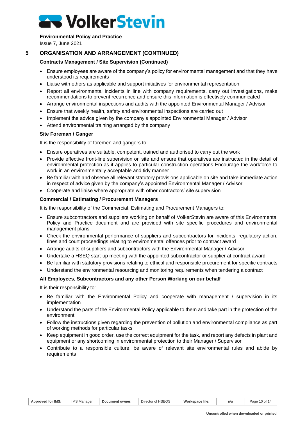### **Environmental Policy and Practice**

Issue 7, June 2021

# **5 ORGANISATION AND ARRANGEMENT (CONTINUED)**

# **Contracts Management / Site Supervision (Continued)**

- Ensure employees are aware of the company's policy for environmental management and that they have understood its requirements
- Liaise with others as applicable and support initiatives for environmental representation
- Report all environmental incidents in line with company requirements, carry out investigations, make recommendations to prevent recurrence and ensure this information is effectively communicated
- Arrange environmental inspections and audits with the appointed Environmental Manager / Advisor
- Ensure that weekly health, safety and environmental inspections are carried out
- Implement the advice given by the company's appointed Environmental Manager / Advisor
- Attend environmental training arranged by the company

# **Site Foreman / Ganger**

It is the responsibility of foremen and gangers to:

- Ensure operatives are suitable, competent, trained and authorised to carry out the work
- Provide effective front-line supervision on site and ensure that operatives are instructed in the detail of environmental protection as it applies to particular construction operations Encourage the workforce to work in an environmentally acceptable and tidy manner
- Be familiar with and observe all relevant statutory provisions applicable on site and take immediate action in respect of advice given by the company's appointed Environmental Manager / Advisor
- Cooperate and liaise where appropriate with other contractors' site supervision

# **Commercial / Estimating / Procurement Managers**

It is the responsibility of the Commercial, Estimating and Procurement Managers to:

- Ensure subcontractors and suppliers working on behalf of VolkerStevin are aware of this Environmental Policy and Practice document and are provided with site specific procedures and environmental management plans
- Check the environmental performance of suppliers and subcontractors for incidents, regulatory action, fines and court proceedings relating to environmental offences prior to contract award
- Arrange audits of suppliers and subcontractors with the Environmental Manager / Advisor
- Undertake a HSEQ start-up meeting with the appointed subcontractor or supplier at contract award
- Be familiar with statutory provisions relating to ethical and responsible procurement for specific contracts
- Understand the environmental resourcing and monitoring requirements when tendering a contract

# **All Employees, Subcontractors and any other Person Working on our behalf**

It is their responsibility to:

- Be familiar with the Environmental Policy and cooperate with management / supervision in its implementation
- Understand the parts of the Environmental Policy applicable to them and take part in the protection of the environment
- Follow the instructions given regarding the prevention of pollution and environmental compliance as part of working methods for particular tasks
- Keep equipment in good order, use the correct equipment for the task, and report any defects in plant and equipment or any shortcoming in environmental protection to their Manager / Supervisor
- Contribute to a responsible culture, be aware of relevant site environmental rules and abide by requirements

| <b>Approved for IMS:</b> | <b>IMS N</b><br>. Manager | Document owner: | Director of HSEQS | Workspace file: | n/a | 10 of 14<br>Page |
|--------------------------|---------------------------|-----------------|-------------------|-----------------|-----|------------------|
|--------------------------|---------------------------|-----------------|-------------------|-----------------|-----|------------------|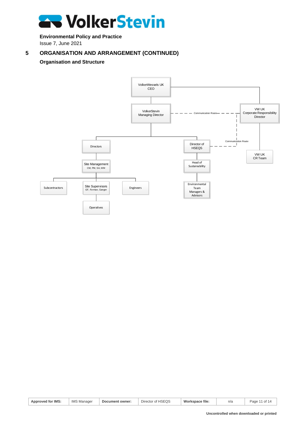

**Environmental Policy and Practice** Issue 7, June 2021

# **5 ORGANISATION AND ARRANGEMENT (CONTINUED)**

# **Organisation and Structure**



| <b>Approved for IMS:</b> | <b>IMS Manager</b> | Document owner: | Director of HSEQS | Workspace file: | n/a | Page 11 of 14 |
|--------------------------|--------------------|-----------------|-------------------|-----------------|-----|---------------|
|--------------------------|--------------------|-----------------|-------------------|-----------------|-----|---------------|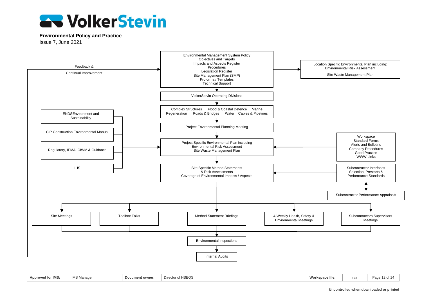

Issue 7, June 2021



| 1880<br>Approved for IMS: | $18.4 \Omega$<br>IMS Managei | Document owner: | $\sim$ f LIQE $\cap$ G<br>Director of<br>noewo | <b>Mory</b><br>rkspace file<br>ww | - 1 -<br>า/ล | Page |
|---------------------------|------------------------------|-----------------|------------------------------------------------|-----------------------------------|--------------|------|
|                           |                              |                 |                                                |                                   |              |      |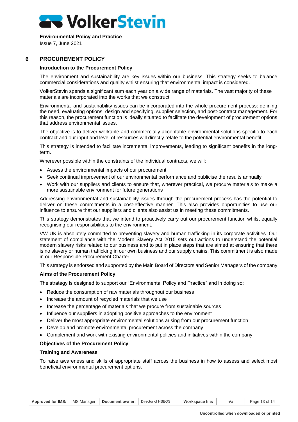**Environmental Policy and Practice**

Issue 7, June 2021

# **6 PROCUREMENT POLICY**

#### <span id="page-12-0"></span>**Introduction to the Procurement Policy**

The environment and sustainability are key issues within our business. This strategy seeks to balance commercial considerations and quality whilst ensuring that environmental impact is considered.

VolkerStevin spends a significant sum each year on a wide range of materials. The vast majority of these materials are incorporated into the works that we construct.

Environmental and sustainability issues can be incorporated into the whole procurement process: defining the need, evaluating options, design and specifying, supplier selection, and post-contract management. For this reason, the procurement function is ideally situated to facilitate the development of procurement options that address environmental issues.

The objective is to deliver workable and commercially acceptable environmental solutions specific to each contract and our input and level of resources will directly relate to the potential environmental benefit.

This strategy is intended to facilitate incremental improvements, leading to significant benefits in the longterm.

Wherever possible within the constraints of the individual contracts, we will:

- Assess the environmental impacts of our procurement
- Seek continual improvement of our environmental performance and publicise the results annually
- Work with our suppliers and clients to ensure that, wherever practical, we procure materials to make a more sustainable environment for future generations

Addressing environmental and sustainability issues through the procurement process has the potential to deliver on these commitments in a cost-effective manner. This also provides opportunities to use our influence to ensure that our suppliers and clients also assist us in meeting these commitments.

This strategy demonstrates that we intend to proactively carry out our procurement function whilst equally recognising our responsibilities to the environment.

VW UK is absolutely committed to preventing slavery and human trafficking in its corporate activities. Our statement of compliance with the Modern Slavery Act 2015 sets out actions to understand the potential modern slavery risks related to our business and to put in place steps that are aimed at ensuring that there is no slavery or human trafficking in our own business and our supply chains. This commitment is also made in our Responsible Procurement Charter.

This strategy is endorsed and supported by the Main Board of Directors and Senior Managers of the company.

#### **Aims of the Procurement Policy**

The strategy is designed to support our "Environmental Policy and Practice" and in doing so:

- Reduce the consumption of raw materials throughout our business
- Increase the amount of recycled materials that we use
- Increase the percentage of materials that we procure from sustainable sources
- Influence our suppliers in adopting positive approaches to the environment
- Deliver the most appropriate environmental solutions arising from our procurement function
- Develop and promote environmental procurement across the company
- Complement and work with existing environmental policies and initiatives within the company

#### **Objectives of the Procurement Policy**

#### **Training and Awareness**

To raise awareness and skills of appropriate staff across the business in how to assess and select most beneficial environmental procurement options.

| <b>Approved for IMS:</b> | IMS Manager | Document owner: | Director of HSEQS | Workspace file: | n/a | Page 13 of 14 |
|--------------------------|-------------|-----------------|-------------------|-----------------|-----|---------------|
|                          |             |                 |                   |                 |     |               |